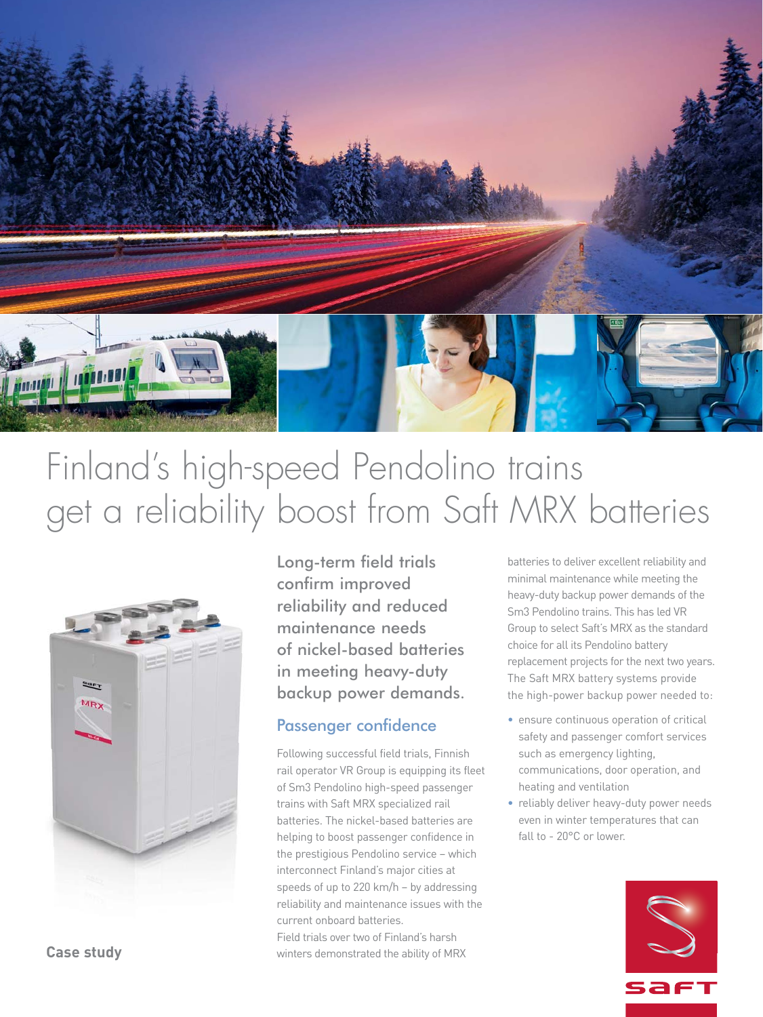

# Finland's high-speed Pendolino trains get a reliability boost from Saft MRX batteries



Long-term field trials confirm improved reliability and reduced maintenance needs of nickel-based batteries in meeting heavy-duty backup power demands.

## Passenger confidence

Following successful field trials, Finnish rail operator VR Group is equipping its fleet of Sm3 Pendolino high-speed passenger trains with Saft MRX specialized rail batteries. The nickel-based batteries are helping to boost passenger confidence in the prestigious Pendolino service – which interconnect Finland's major cities at speeds of up to 220 km/h – by addressing reliability and maintenance issues with the current onboard batteries.

Field trials over two of Finland's harsh winters demonstrated the ability of MRX

batteries to deliver excellent reliability and minimal maintenance while meeting the heavy-duty backup power demands of the Sm3 Pendolino trains. This has led VR Group to select Saft's MRX as the standard choice for all its Pendolino battery replacement projects for the next two years. The Saft MRX battery systems provide the high-power backup power needed to:

- ensure continuous operation of critical safety and passenger comfort services such as emergency lighting, communications, door operation, and heating and ventilation
- reliably deliver heavy-duty power needs even in winter temperatures that can fall to - 20°C or lower.



**Case study**